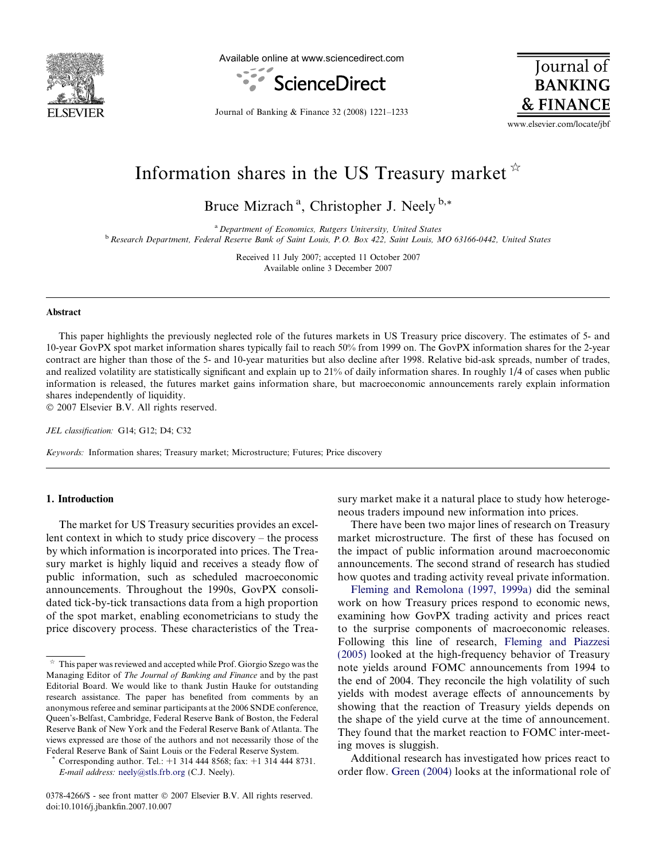

Available online at www.sciencedirect.com



Journal of **BANKING & FINANCE** 

Journal of Banking & Finance 32 (2008) 1221–1233

www.elsevier.com/locate/jbf

# Information shares in the US Treasury market  $\dot{\alpha}$

Bruce Mizrach<sup>a</sup>, Christopher J. Neely<sup>b,\*</sup>

<sup>a</sup> Department of Economics, Rutgers University, United States <sup>b</sup> Research Department, Federal Reserve Bank of Saint Louis, P.O. Box 422, Saint Louis, MO 63166-0442, United States

> Received 11 July 2007; accepted 11 October 2007 Available online 3 December 2007

#### Abstract

This paper highlights the previously neglected role of the futures markets in US Treasury price discovery. The estimates of 5- and 10-year GovPX spot market information shares typically fail to reach 50% from 1999 on. The GovPX information shares for the 2-year contract are higher than those of the 5- and 10-year maturities but also decline after 1998. Relative bid-ask spreads, number of trades, and realized volatility are statistically significant and explain up to 21% of daily information shares. In roughly 1/4 of cases when public information is released, the futures market gains information share, but macroeconomic announcements rarely explain information shares independently of liquidity.

 $© 2007 Elsevier B.V. All rights reserved.$ 

JEL classification: G14; G12; D4; C32

Keywords: Information shares; Treasury market; Microstructure; Futures; Price discovery

# 1. Introduction

The market for US Treasury securities provides an excellent context in which to study price discovery – the process by which information is incorporated into prices. The Treasury market is highly liquid and receives a steady flow of public information, such as scheduled macroeconomic announcements. Throughout the 1990s, GovPX consolidated tick-by-tick transactions data from a high proportion of the spot market, enabling econometricians to study the price discovery process. These characteristics of the Treasury market make it a natural place to study how heterogeneous traders impound new information into prices.

There have been two major lines of research on Treasury market microstructure. The first of these has focused on the impact of public information around macroeconomic announcements. The second strand of research has studied how quotes and trading activity reveal private information.

[Fleming and Remolona \(1997, 1999a\)](#page-12-0) did the seminal work on how Treasury prices respond to economic news, examining how GovPX trading activity and prices react to the surprise components of macroeconomic releases. Following this line of research, [Fleming and Piazzesi](#page-12-0) [\(2005\)](#page-12-0) looked at the high-frequency behavior of Treasury note yields around FOMC announcements from 1994 to the end of 2004. They reconcile the high volatility of such yields with modest average effects of announcements by showing that the reaction of Treasury yields depends on the shape of the yield curve at the time of announcement. They found that the market reaction to FOMC inter-meeting moves is sluggish.

Additional research has investigated how prices react to order flow. [Green \(2004\)](#page-12-0) looks at the informational role of

 $\hat{p}$  This paper was reviewed and accepted while Prof. Giorgio Szego was the Managing Editor of The Journal of Banking and Finance and by the past Editorial Board. We would like to thank Justin Hauke for outstanding research assistance. The paper has benefited from comments by an anonymous referee and seminar participants at the 2006 SNDE conference, Queen's-Belfast, Cambridge, Federal Reserve Bank of Boston, the Federal Reserve Bank of New York and the Federal Reserve Bank of Atlanta. The views expressed are those of the authors and not necessarily those of the Federal Reserve Bank of Saint Louis or the Federal Reserve System.

Corresponding author. Tel.:  $+1$  314 444 8568; fax:  $+1$  314 444 8731. E-mail address: [neely@stls.frb.org](mailto:neely@stls.frb.org) (C.J. Neely).

<sup>0378-4266/\$ -</sup> see front matter © 2007 Elsevier B.V. All rights reserved. doi:10.1016/j.jbankfin.2007.10.007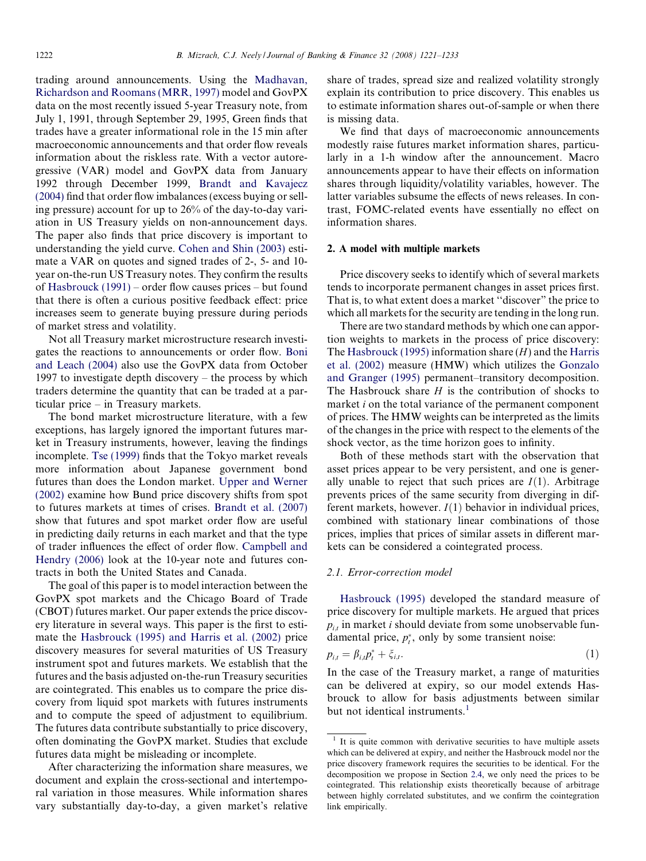trading around announcements. Using the [Madhavan,](#page-12-0) [Richardson and Roomans \(MRR, 1997\)](#page-12-0) model and GovPX data on the most recently issued 5-year Treasury note, from July 1, 1991, through September 29, 1995, Green finds that trades have a greater informational role in the 15 min after macroeconomic announcements and that order flow reveals information about the riskless rate. With a vector autoregressive (VAR) model and GovPX data from January 1992 through December 1999, [Brandt and Kavajecz](#page-12-0) [\(2004\)](#page-12-0) find that order flow imbalances (excess buying or selling pressure) account for up to 26% of the day-to-day variation in US Treasury yields on non-announcement days. The paper also finds that price discovery is important to understanding the yield curve. [Cohen and Shin \(2003\)](#page-12-0) estimate a VAR on quotes and signed trades of 2-, 5- and 10 year on-the-run US Treasury notes. They confirm the results of [Hasbrouck \(1991\)](#page-12-0) – order flow causes prices – but found that there is often a curious positive feedback effect: price increases seem to generate buying pressure during periods of market stress and volatility.

Not all Treasury market microstructure research investigates the reactions to announcements or order flow. [Boni](#page-12-0) [and Leach \(2004\)](#page-12-0) also use the GovPX data from October 1997 to investigate depth discovery – the process by which traders determine the quantity that can be traded at a particular price – in Treasury markets.

The bond market microstructure literature, with a few exceptions, has largely ignored the important futures market in Treasury instruments, however, leaving the findings incomplete. [Tse \(1999\)](#page-12-0) finds that the Tokyo market reveals more information about Japanese government bond futures than does the London market. [Upper and Werner](#page-12-0) [\(2002\)](#page-12-0) examine how Bund price discovery shifts from spot to futures markets at times of crises. [Brandt et al. \(2007\)](#page-12-0) show that futures and spot market order flow are useful in predicting daily returns in each market and that the type of trader influences the effect of order flow. [Campbell and](#page-12-0) [Hendry \(2006\)](#page-12-0) look at the 10-year note and futures contracts in both the United States and Canada.

The goal of this paper is to model interaction between the GovPX spot markets and the Chicago Board of Trade (CBOT) futures market. Our paper extends the price discovery literature in several ways. This paper is the first to estimate the [Hasbrouck \(1995\) and Harris et al. \(2002\)](#page-12-0) price discovery measures for several maturities of US Treasury instrument spot and futures markets. We establish that the futures and the basis adjusted on-the-run Treasury securities are cointegrated. This enables us to compare the price discovery from liquid spot markets with futures instruments and to compute the speed of adjustment to equilibrium. The futures data contribute substantially to price discovery, often dominating the GovPX market. Studies that exclude futures data might be misleading or incomplete.

After characterizing the information share measures, we document and explain the cross-sectional and intertemporal variation in those measures. While information shares vary substantially day-to-day, a given market's relative

share of trades, spread size and realized volatility strongly explain its contribution to price discovery. This enables us to estimate information shares out-of-sample or when there is missing data.

We find that days of macroeconomic announcements modestly raise futures market information shares, particularly in a 1-h window after the announcement. Macro announcements appear to have their effects on information shares through liquidity/volatility variables, however. The latter variables subsume the effects of news releases. In contrast, FOMC-related events have essentially no effect on information shares.

### 2. A model with multiple markets

Price discovery seeks to identify which of several markets tends to incorporate permanent changes in asset prices first. That is, to what extent does a market ''discover" the price to which all markets for the security are tending in the long run.

There are two standard methods by which one can apportion weights to markets in the process of price discovery: The [Hasbrouck \(1995\)](#page-12-0) information share  $(H)$  and the [Harris](#page-12-0) [et al. \(2002\)](#page-12-0) measure (HMW) which utilizes the [Gonzalo](#page-12-0) [and Granger \(1995\)](#page-12-0) permanent–transitory decomposition. The Hasbrouck share  $H$  is the contribution of shocks to market *i* on the total variance of the permanent component of prices. The HMW weights can be interpreted as the limits of the changes in the price with respect to the elements of the shock vector, as the time horizon goes to infinity.

Both of these methods start with the observation that asset prices appear to be very persistent, and one is generally unable to reject that such prices are  $I(1)$ . Arbitrage prevents prices of the same security from diverging in different markets, however.  $I(1)$  behavior in individual prices, combined with stationary linear combinations of those prices, implies that prices of similar assets in different markets can be considered a cointegrated process.

#### 2.1. Error-correction model

[Hasbrouck \(1995\)](#page-12-0) developed the standard measure of price discovery for multiple markets. He argued that prices  $p_{i,t}$  in market *i* should deviate from some unobservable fundamental price,  $p_t^*$ , only by some transient noise:

$$
p_{i,t} = \beta_{i,t} p_t^* + \xi_{i,t}.
$$
 (1)

In the case of the Treasury market, a range of maturities can be delivered at expiry, so our model extends Hasbrouck to allow for basis adjustments between similar but not identical instruments.<sup>1</sup>

<sup>&</sup>lt;sup>1</sup> It is quite common with derivative securities to have multiple assets which can be delivered at expiry, and neither the Hasbrouck model nor the price discovery framework requires the securities to be identical. For the decomposition we propose in Section [2.4,](#page-3-0) we only need the prices to be cointegrated. This relationship exists theoretically because of arbitrage between highly correlated substitutes, and we confirm the cointegration link empirically.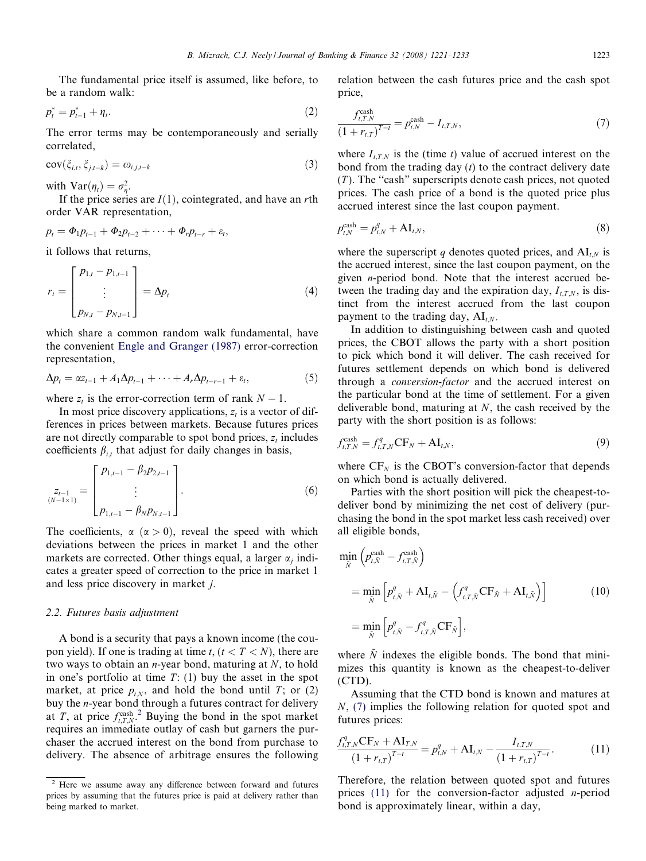<span id="page-2-0"></span>The fundamental price itself is assumed, like before, to be a random walk:

$$
p_t^* = p_{t-1}^* + \eta_t. \tag{2}
$$

The error terms may be contemporaneously and serially correlated,

$$
cov(\xi_{i,t}, \xi_{j,t-k}) = \omega_{i,j,t-k}
$$
\n(3)

with  $\text{Var}(\eta_t) = \sigma_{\eta}^2$ .

If the price series are  $I(1)$ , cointegrated, and have an *rth* order VAR representation,

$$
p_t = \Phi_1 p_{t-1} + \Phi_2 p_{t-2} + \cdots + \Phi_r p_{t-r} + \varepsilon_t,
$$

it follows that returns,

$$
r_{t} = \begin{bmatrix} p_{1,t} - p_{1,t-1} \\ \vdots \\ p_{N,t} - p_{N,t-1} \end{bmatrix} = \Delta p_{t}
$$
 (4)

which share a common random walk fundamental, have the convenient [Engle and Granger \(1987\)](#page-12-0) error-correction representation,

$$
\Delta p_t = \alpha z_{t-1} + A_1 \Delta p_{t-1} + \dots + A_r \Delta p_{t-r-1} + \varepsilon_t, \tag{5}
$$

where  $z_t$  is the error-correction term of rank  $N - 1$ .

In most price discovery applications,  $z_t$  is a vector of differences in prices between markets. Because futures prices are not directly comparable to spot bond prices,  $z_t$  includes coefficients  $\beta_{i,t}$  that adjust for daily changes in basis,

$$
z_{t-1} = \begin{bmatrix} p_{1,t-1} - \beta_2 p_{2,t-1} \\ \vdots \\ p_{1,t-1} - \beta_N p_{N,t-1} \end{bmatrix} .
$$
 (6)

The coefficients,  $\alpha$  ( $\alpha > 0$ ), reveal the speed with which deviations between the prices in market 1 and the other markets are corrected. Other things equal, a larger  $\alpha_i$  indicates a greater speed of correction to the price in market 1 and less price discovery in market j.

#### 2.2. Futures basis adjustment

A bond is a security that pays a known income (the coupon yield). If one is trading at time  $t, (t < T < N)$ , there are two ways to obtain an  $n$ -year bond, maturing at  $N$ , to hold in one's portfolio at time  $T: (1)$  buy the asset in the spot market, at price  $p_{tN}$ , and hold the bond until T; or (2) buy the n-year bond through a futures contract for delivery at T, at price  $f_{t,T,N}^{\text{cash}}$ . Buying the bond in the spot market requires an immediate outlay of cash but garners the purchaser the accrued interest on the bond from purchase to delivery. The absence of arbitrage ensures the following relation between the cash futures price and the cash spot price,

$$
\frac{f_{t,T,N}^{\text{cash}}}{(1 + r_{t,T})^{T-t}} = p_{t,N}^{\text{cash}} - I_{t,T,N},
$$
\n(7)

where  $I_{t,T,N}$  is the (time t) value of accrued interest on the bond from the trading day  $(t)$  to the contract delivery date  $(T)$ . The "cash" superscripts denote cash prices, not quoted prices. The cash price of a bond is the quoted price plus accrued interest since the last coupon payment.

$$
p_{t,N}^{\text{cash}} = p_{t,N}^q + A I_{t,N}, \tag{8}
$$

where the superscript q denotes quoted prices, and  $AI$ <sub>t,N</sub> is the accrued interest, since the last coupon payment, on the given n-period bond. Note that the interest accrued between the trading day and the expiration day,  $I_{tTN}$ , is distinct from the interest accrued from the last coupon payment to the trading day,  $AI_{t,N}$ .

In addition to distinguishing between cash and quoted prices, the CBOT allows the party with a short position to pick which bond it will deliver. The cash received for futures settlement depends on which bond is delivered through a conversion-factor and the accrued interest on the particular bond at the time of settlement. For a given deliverable bond, maturing at  $N$ , the cash received by the party with the short position is as follows:

$$
f_{t,T,N}^{\text{cash}} = f_{t,T,N}^q \mathbf{C} \mathbf{F}_N + \mathbf{A} \mathbf{I}_{t,N}, \tag{9}
$$

where  $CF_N$  is the CBOT's conversion-factor that depends on which bond is actually delivered.

Parties with the short position will pick the cheapest-todeliver bond by minimizing the net cost of delivery (purchasing the bond in the spot market less cash received) over all eligible bonds,

$$
\min_{\tilde{N}} \left( p_{t,\tilde{N}}^{\text{cash}} - f_{t,T,\tilde{N}}^{\text{cash}} \right)
$$
\n
$$
= \min_{\tilde{N}} \left[ p_{t,\tilde{N}}^{q} + \mathbf{AI}_{t,\tilde{N}} - \left( f_{t,T,\tilde{N}}^{q} \mathbf{CF}_{\tilde{N}} + \mathbf{AI}_{t,\tilde{N}} \right) \right]
$$
\n
$$
= \min_{\tilde{N}} \left[ p_{t,\tilde{N}}^{q} - f_{t,T,\tilde{N}}^{q} \mathbf{CF}_{\tilde{N}} \right],
$$
\n(10)

where  $\tilde{N}$  indexes the eligible bonds. The bond that minimizes this quantity is known as the cheapest-to-deliver (CTD).

Assuming that the CTD bond is known and matures at N, (7) implies the following relation for quoted spot and futures prices:

$$
\frac{f_{t,T,N}^q CF_N + AI_{T,N}}{(1 + r_{t,T})^{T-t}} = p_{t,N}^q + AI_{t,N} - \frac{I_{t,T,N}}{(1 + r_{t,T})^{T-t}}.
$$
\n(11)

Therefore, the relation between quoted spot and futures prices  $(11)$  for the conversion-factor adjusted *n*-period bond is approximately linear, within a day,

<sup>&</sup>lt;sup>2</sup> Here we assume away any difference between forward and futures prices by assuming that the futures price is paid at delivery rather than being marked to market.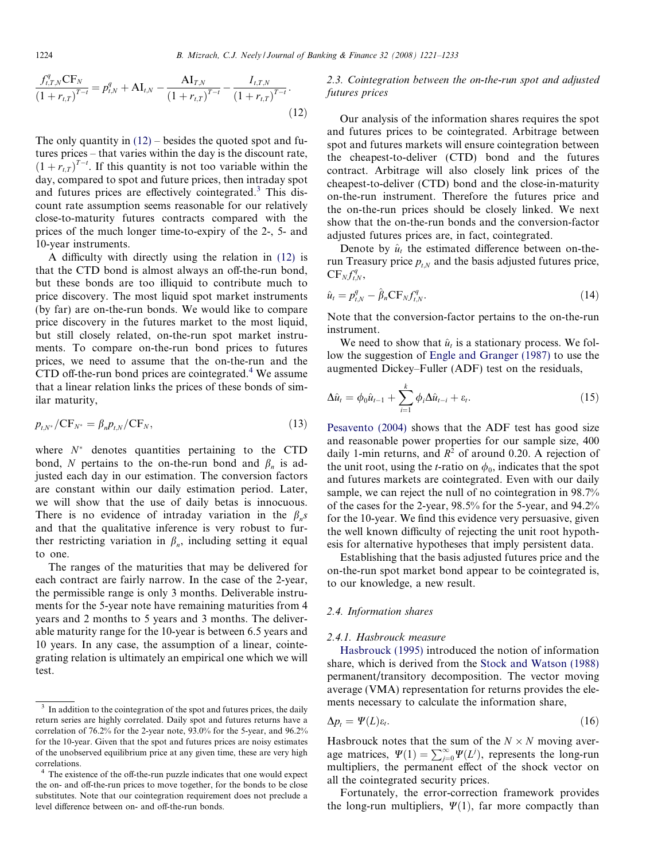<span id="page-3-0"></span>
$$
\frac{f_{t,T,N}^q CF_N}{(1 + r_{t,T})^{T-t}} = p_{t,N}^q + AI_{t,N} - \frac{AI_{T,N}}{(1 + r_{t,T})^{T-t}} - \frac{I_{t,T,N}}{(1 + r_{t,T})^{T-t}}.
$$
\n(12)

The only quantity in  $(12)$  – besides the quoted spot and futures prices – that varies within the day is the discount rate,  $(1 + r_{t,T})^{T-t}$ . If this quantity is not too variable within the day, compared to spot and future prices, then intraday spot and futures prices are effectively cointegrated.3 This discount rate assumption seems reasonable for our relatively close-to-maturity futures contracts compared with the prices of the much longer time-to-expiry of the 2-, 5- and 10-year instruments.

A difficulty with directly using the relation in (12) is that the CTD bond is almost always an off-the-run bond, but these bonds are too illiquid to contribute much to price discovery. The most liquid spot market instruments (by far) are on-the-run bonds. We would like to compare price discovery in the futures market to the most liquid, but still closely related, on-the-run spot market instruments. To compare on-the-run bond prices to futures prices, we need to assume that the on-the-run and the CTD off-the-run bond prices are cointegrated. $4$  We assume that a linear relation links the prices of these bonds of similar maturity,

$$
p_{t,N^*}/CF_{N^*} = \beta_n p_{t,N}/CF_N, \tag{13}
$$

where  $N^*$  denotes quantities pertaining to the CTD bond, N pertains to the on-the-run bond and  $\beta_n$  is adjusted each day in our estimation. The conversion factors are constant within our daily estimation period. Later, we will show that the use of daily betas is innocuous. There is no evidence of intraday variation in the  $\beta_n s$ and that the qualitative inference is very robust to further restricting variation in  $\beta_n$ , including setting it equal to one.

The ranges of the maturities that may be delivered for each contract are fairly narrow. In the case of the 2-year, the permissible range is only 3 months. Deliverable instruments for the 5-year note have remaining maturities from 4 years and 2 months to 5 years and 3 months. The deliverable maturity range for the 10-year is between 6.5 years and 10 years. In any case, the assumption of a linear, cointegrating relation is ultimately an empirical one which we will test.

# 2.3. Cointegration between the on-the-run spot and adjusted futures prices

Our analysis of the information shares requires the spot and futures prices to be cointegrated. Arbitrage between spot and futures markets will ensure cointegration between the cheapest-to-deliver (CTD) bond and the futures contract. Arbitrage will also closely link prices of the cheapest-to-deliver (CTD) bond and the close-in-maturity on-the-run instrument. Therefore the futures price and the on-the-run prices should be closely linked. We next show that the on-the-run bonds and the conversion-factor adjusted futures prices are, in fact, cointegrated.

Denote by  $\hat{u}_t$  the estimated difference between on-therun Treasury price  $p_{tN}$  and the basis adjusted futures price,  $CF_N f_{t,N}^q$ ,

$$
\hat{u}_t = p_{t,N}^q - \hat{\beta}_n \mathbf{CF}_N f_{t,N}^q. \tag{14}
$$

Note that the conversion-factor pertains to the on-the-run instrument.

We need to show that  $\hat{u}_t$  is a stationary process. We follow the suggestion of [Engle and Granger \(1987\)](#page-12-0) to use the augmented Dickey–Fuller (ADF) test on the residuals,

$$
\Delta \hat{u}_t = \phi_0 \hat{u}_{t-1} + \sum_{i=1}^k \phi_i \Delta \hat{u}_{t-i} + \varepsilon_t.
$$
\n(15)

[Pesavento \(2004\)](#page-12-0) shows that the ADF test has good size and reasonable power properties for our sample size, 400 daily 1-min returns, and  $R^2$  of around 0.20. A rejection of the unit root, using the *t*-ratio on  $\phi_0$ , indicates that the spot and futures markets are cointegrated. Even with our daily sample, we can reject the null of no cointegration in 98.7% of the cases for the 2-year, 98.5% for the 5-year, and 94.2% for the 10-year. We find this evidence very persuasive, given the well known difficulty of rejecting the unit root hypothesis for alternative hypotheses that imply persistent data.

Establishing that the basis adjusted futures price and the on-the-run spot market bond appear to be cointegrated is, to our knowledge, a new result.

### 2.4. Information shares

#### 2.4.1. Hasbrouck measure

[Hasbrouck \(1995\)](#page-12-0) introduced the notion of information share, which is derived from the [Stock and Watson \(1988\)](#page-12-0) permanent/transitory decomposition. The vector moving average (VMA) representation for returns provides the elements necessary to calculate the information share,

$$
\Delta p_t = \Psi(L)\varepsilon_t. \tag{16}
$$

Hasbrouck notes that the sum of the  $N \times N$  moving averrassreden notes that the sum of the lower moving average matrices,  $\Psi(1) = \sum_{j=0}^{\infty} \Psi(L^j)$ , represents the long-run multipliers, the permanent effect of the shock vector on all the cointegrated security prices.

Fortunately, the error-correction framework provides the long-run multipliers,  $\Psi(1)$ , far more compactly than

<sup>&</sup>lt;sup>3</sup> In addition to the cointegration of the spot and futures prices, the daily return series are highly correlated. Daily spot and futures returns have a correlation of 76.2% for the 2-year note, 93.0% for the 5-year, and 96.2% for the 10-year. Given that the spot and futures prices are noisy estimates of the unobserved equilibrium price at any given time, these are very high correlations.

<sup>4</sup> The existence of the off-the-run puzzle indicates that one would expect the on- and off-the-run prices to move together, for the bonds to be close substitutes. Note that our cointegration requirement does not preclude a level difference between on- and off-the-run bonds.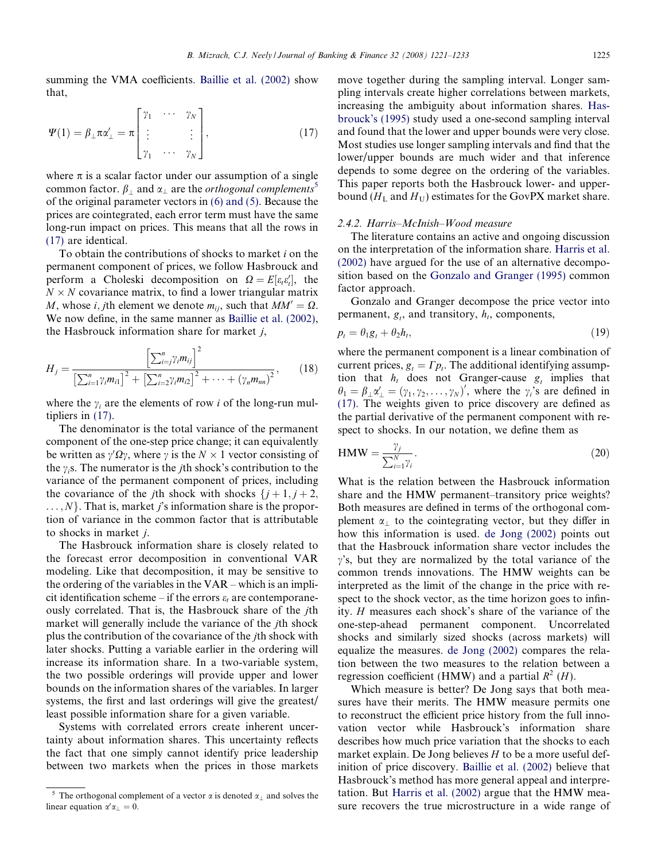<span id="page-4-0"></span>summing the VMA coefficients. [Baillie et al. \(2002\)](#page-12-0) show that,

$$
\Psi(1) = \beta_{\perp} \pi \alpha'_{\perp} = \pi \begin{bmatrix} \gamma_1 & \cdots & \gamma_N \\ \vdots & & \vdots \\ \gamma_1 & \cdots & \gamma_N \end{bmatrix}, \qquad (17)
$$

where  $\pi$  is a scalar factor under our assumption of a single common factor.  $\beta_{\perp}$  and  $\alpha_{\perp}$  are the *orthogonal complements*<sup>5</sup> of the original parameter vectors in [\(6\) and \(5\).](#page-2-0) Because the prices are cointegrated, each error term must have the same long-run impact on prices. This means that all the rows in (17) are identical.

To obtain the contributions of shocks to market i on the permanent component of prices, we follow Hasbrouck and perform a Choleski decomposition on  $\Omega = E[\varepsilon_i \varepsilon'_i]$ , the  $N \times N$  covariance matrix, to find a lower triangular matrix M, whose i, jth element we denote  $m_{ij}$ , such that  $MM' = \Omega$ . We now define, in the same manner as [Baillie et al. \(2002\),](#page-12-0) the Hasbrouck information share for market j,

$$
H_{j} = \frac{\left[\sum_{i=j}^{n} \gamma_{i} m_{ij}\right]^{2}}{\left[\sum_{i=1}^{n} \gamma_{i} m_{i1}\right]^{2} + \left[\sum_{i=2}^{n} \gamma_{i} m_{i2}\right]^{2} + \dots + \left(\gamma_{n} m_{nn}\right)^{2}},
$$
(18)

where the  $\gamma_i$  are the elements of row *i* of the long-run multipliers in (17).

The denominator is the total variance of the permanent component of the one-step price change; it can equivalently be written as  $\gamma' \Omega \gamma$ , where  $\gamma$  is the  $N \times 1$  vector consisting of the  $\gamma_i$ s. The numerator is the *j*th shock's contribution to the variance of the permanent component of prices, including the covariance of the jth shock with shocks  ${j + 1, j + 2}$ ,  $..., N$ . That is, market *j*'s information share is the proportion of variance in the common factor that is attributable to shocks in market j.

The Hasbrouck information share is closely related to the forecast error decomposition in conventional VAR modeling. Like that decomposition, it may be sensitive to the ordering of the variables in the VAR – which is an implicit identification scheme – if the errors  $\varepsilon_t$  are contemporaneously correlated. That is, the Hasbrouck share of the jth market will generally include the variance of the jth shock plus the contribution of the covariance of the jth shock with later shocks. Putting a variable earlier in the ordering will increase its information share. In a two-variable system, the two possible orderings will provide upper and lower bounds on the information shares of the variables. In larger systems, the first and last orderings will give the greatest/ least possible information share for a given variable.

Systems with correlated errors create inherent uncertainty about information shares. This uncertainty reflects the fact that one simply cannot identify price leadership between two markets when the prices in those markets move together during the sampling interval. Longer sampling intervals create higher correlations between markets, increasing the ambiguity about information shares. [Has](#page-12-0)[brouck's \(1995\)](#page-12-0) study used a one-second sampling interval and found that the lower and upper bounds were very close. Most studies use longer sampling intervals and find that the lower/upper bounds are much wider and that inference depends to some degree on the ordering of the variables. This paper reports both the Hasbrouck lower- and upperbound ( $H_L$  and  $H_U$ ) estimates for the GovPX market share.

#### 2.4.2. Harris–McInish–Wood measure

The literature contains an active and ongoing discussion on the interpretation of the information share. [Harris et al.](#page-12-0) [\(2002\)](#page-12-0) have argued for the use of an alternative decomposition based on the [Gonzalo and Granger \(1995\)](#page-12-0) common factor approach.

Gonzalo and Granger decompose the price vector into permanent,  $g_t$ , and transitory,  $h_t$ , components,

$$
p_t = \theta_1 g_t + \theta_2 h_t, \tag{19}
$$

where the permanent component is a linear combination of current prices,  $g_t = \Gamma p_t$ . The additional identifying assumption that  $h_t$  does not Granger-cause  $g_t$  implies that  $\theta_1 = \beta_{\perp} \alpha'_{\perp} = (\gamma_1, \gamma_2, \dots, \gamma_N)'$ , where the  $\gamma_i$ 's are defined in (17). The weights given to price discovery are defined as the partial derivative of the permanent component with respect to shocks. In our notation, we define them as

$$
HMW = \frac{\gamma_j}{\sum_{i=1}^{N} \gamma_i}.
$$
\n(20)

What is the relation between the Hasbrouck information share and the HMW permanent–transitory price weights? Both measures are defined in terms of the orthogonal complement  $\alpha_{\perp}$  to the cointegrating vector, but they differ in how this information is used. [de Jong \(2002\)](#page-12-0) points out that the Hasbrouck information share vector includes the  $\gamma$ 's, but they are normalized by the total variance of the common trends innovations. The HMW weights can be interpreted as the limit of the change in the price with respect to the shock vector, as the time horizon goes to infinity. H measures each shock's share of the variance of the one-step-ahead permanent component. Uncorrelated shocks and similarly sized shocks (across markets) will equalize the measures. [de Jong \(2002\)](#page-12-0) compares the relation between the two measures to the relation between a regression coefficient (HMW) and a partial  $R^2$  (H).

Which measure is better? De Jong says that both measures have their merits. The HMW measure permits one to reconstruct the efficient price history from the full innovation vector while Hasbrouck's information share describes how much price variation that the shocks to each market explain. De Jong believes  $H$  to be a more useful definition of price discovery. [Baillie et al. \(2002\)](#page-12-0) believe that Hasbrouck's method has more general appeal and interpretation. But [Harris et al. \(2002\)](#page-12-0) argue that the HMW measure recovers the true microstructure in a wide range of

<sup>&</sup>lt;sup>5</sup> The orthogonal complement of a vector  $\alpha$  is denoted  $\alpha_{\perp}$  and solves the linear equation  $\alpha' \alpha_{\perp} = 0$ .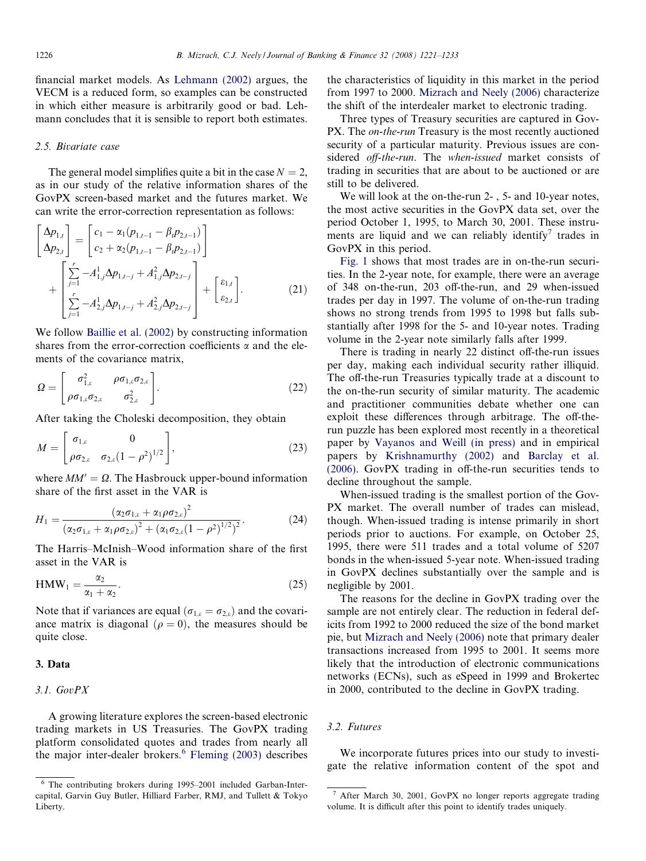financial market models. As [Lehmann \(2002\)](#page-12-0) argues, the VECM is a reduced form, so examples can be constructed in which either measure is arbitrarily good or bad. Lehmann concludes that it is sensible to report both estimates.

## 2.5. Bivariate case

The general model simplifies quite a bit in the case  $N = 2$ , as in our study of the relative information shares of the GovPX screen-based market and the futures market. We can write the error-correction representation as follows:

$$
\begin{bmatrix}\n\Delta p_{1,t} \\
\Delta p_{2,t}\n\end{bmatrix} = \begin{bmatrix}\nc_1 - \alpha_1 (p_{1,t-1} - \beta_t p_{2,t-1}) \\
c_2 + \alpha_2 (p_{1,t-1} - \beta_t p_{2,t-1})\n\end{bmatrix} + \begin{bmatrix}\n\sum_{j=1}^r -A_{1,j}^1 \Delta p_{1,t-j} + A_{1,j}^2 \Delta p_{2,t-j} \\
\sum_{j=1}^r -A_{2,j}^1 \Delta p_{1,t-j} + A_{2,j}^2 \Delta p_{2,t-j}\n\end{bmatrix} + \begin{bmatrix}\n\varepsilon_{1,t} \\
\varepsilon_{2,t}\n\end{bmatrix}.
$$
\n(21)

We follow [Baillie et al. \(2002\)](#page-12-0) by constructing information shares from the error-correction coefficients  $\alpha$  and the elements of the covariance matrix,

$$
\Omega = \begin{bmatrix} \sigma_{1,\varepsilon}^2 & \rho \sigma_{1,\varepsilon} \sigma_{2,\varepsilon} \\ \rho \sigma_{1,\varepsilon} \sigma_{2,\varepsilon} & \sigma_{2,\varepsilon}^2 \end{bmatrix} . \tag{22}
$$

After taking the Choleski decomposition, they obtain

$$
M = \begin{bmatrix} \sigma_{1,\varepsilon} & 0 \\ \rho \sigma_{2,\varepsilon} & \sigma_{2,\varepsilon} (1 - \rho^2)^{1/2} \end{bmatrix},
$$
 (23)

where  $MM' = \Omega$ . The Hasbrouck upper-bound information share of the first asset in the VAR is

$$
H_1 = \frac{\left(\alpha_2 \sigma_{1,\varepsilon} + \alpha_1 \rho \sigma_{2,\varepsilon}\right)^2}{\left(\alpha_2 \sigma_{1,\varepsilon} + \alpha_1 \rho \sigma_{2,\varepsilon}\right)^2 + \left(\alpha_1 \sigma_{2,\varepsilon} (1 - \rho^2)^{1/2}\right)^2}.
$$
 (24)

The Harris–McInish–Wood information share of the first asset in the VAR is

$$
HMW_1 = \frac{\alpha_2}{\alpha_1 + \alpha_2}.
$$
\n(25)

Note that if variances are equal ( $\sigma_{1,\varepsilon} = \sigma_{2,\varepsilon}$ ) and the covariance matrix is diagonal ( $\rho = 0$ ), the measures should be quite close.

## 3. Data

#### 3.1. GovPX

A growing literature explores the screen-based electronic trading markets in US Treasuries. The GovPX trading platform consolidated quotes and trades from nearly all the major inter-dealer brokers. $6$  [Fleming \(2003\)](#page-12-0) describes

the characteristics of liquidity in this market in the period from 1997 to 2000. [Mizrach and Neely \(2006\)](#page-12-0) characterize the shift of the interdealer market to electronic trading.

Three types of Treasury securities are captured in Gov-PX. The on-the-run Treasury is the most recently auctioned security of a particular maturity. Previous issues are considered off-the-run. The when-issued market consists of trading in securities that are about to be auctioned or are still to be delivered.

We will look at the on-the-run 2- , 5- and 10-year notes, the most active securities in the GovPX data set, over the period October 1, 1995, to March 30, 2001. These instruments are liquid and we can reliably identify<sup>7</sup> trades in GovPX in this period.

[Fig. 1](#page-6-0) shows that most trades are in on-the-run securities. In the 2-year note, for example, there were an average of 348 on-the-run, 203 off-the-run, and 29 when-issued trades per day in 1997. The volume of on-the-run trading shows no strong trends from 1995 to 1998 but falls substantially after 1998 for the 5- and 10-year notes. Trading volume in the 2-year note similarly falls after 1999.

There is trading in nearly 22 distinct off-the-run issues per day, making each individual security rather illiquid. The off-the-run Treasuries typically trade at a discount to the on-the-run security of similar maturity. The academic and practitioner communities debate whether one can exploit these differences through arbitrage. The off-therun puzzle has been explored most recently in a theoretical paper by [Vayanos and Weill \(in press\)](#page-12-0) and in empirical papers by [Krishnamurthy \(2002\)](#page-12-0) and [Barclay et al.](#page-12-0) [\(2006\)](#page-12-0). GovPX trading in off-the-run securities tends to decline throughout the sample.

When-issued trading is the smallest portion of the Gov-PX market. The overall number of trades can mislead, though. When-issued trading is intense primarily in short periods prior to auctions. For example, on October 25, 1995, there were 511 trades and a total volume of 5207 bonds in the when-issued 5-year note. When-issued trading in GovPX declines substantially over the sample and is negligible by 2001.

The reasons for the decline in GovPX trading over the sample are not entirely clear. The reduction in federal deficits from 1992 to 2000 reduced the size of the bond market pie, but [Mizrach and Neely \(2006\)](#page-12-0) note that primary dealer transactions increased from 1995 to 2001. It seems more likely that the introduction of electronic communications networks (ECNs), such as eSpeed in 1999 and Brokertec in 2000, contributed to the decline in GovPX trading.

#### 3.2. Futures

We incorporate futures prices into our study to investigate the relative information content of the spot and

<sup>6</sup> The contributing brokers during 1995–2001 included Garban-Intercapital, Garvin Guy Butler, Hilliard Farber, RMJ, and Tullett & Tokyo Liberty.

 $7$  After March 30, 2001, GovPX no longer reports aggregate trading volume. It is difficult after this point to identify trades uniquely.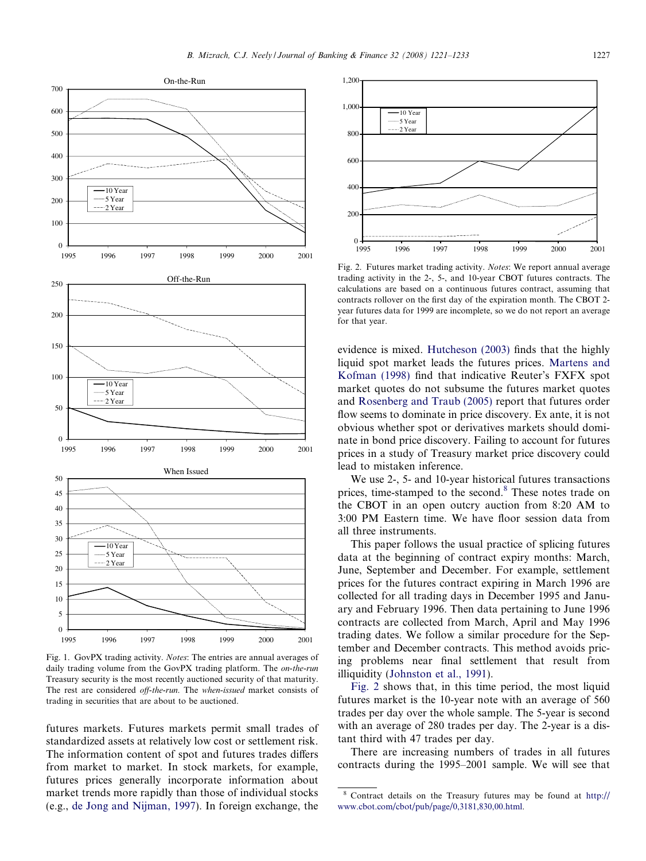<span id="page-6-0"></span>

Fig. 1. GovPX trading activity. Notes: The entries are annual averages of daily trading volume from the GovPX trading platform. The on-the-run Treasury security is the most recently auctioned security of that maturity. The rest are considered off-the-run. The when-issued market consists of trading in securities that are about to be auctioned.

futures markets. Futures markets permit small trades of standardized assets at relatively low cost or settlement risk. The information content of spot and futures trades differs from market to market. In stock markets, for example, futures prices generally incorporate information about market trends more rapidly than those of individual stocks (e.g., [de Jong and Nijman, 1997](#page-12-0)). In foreign exchange, the



Fig. 2. Futures market trading activity. Notes: We report annual average trading activity in the 2-, 5-, and 10-year CBOT futures contracts. The calculations are based on a continuous futures contract, assuming that contracts rollover on the first day of the expiration month. The CBOT 2 year futures data for 1999 are incomplete, so we do not report an average for that year.

evidence is mixed. [Hutcheson \(2003\)](#page-12-0) finds that the highly liquid spot market leads the futures prices. [Martens and](#page-12-0) [Kofman \(1998\)](#page-12-0) find that indicative Reuter's FXFX spot market quotes do not subsume the futures market quotes and [Rosenberg and Traub \(2005\)](#page-12-0) report that futures order flow seems to dominate in price discovery. Ex ante, it is not obvious whether spot or derivatives markets should dominate in bond price discovery. Failing to account for futures prices in a study of Treasury market price discovery could lead to mistaken inference.

We use 2-, 5- and 10-year historical futures transactions prices, time-stamped to the second.<sup>8</sup> These notes trade on the CBOT in an open outcry auction from 8:20 AM to 3:00 PM Eastern time. We have floor session data from all three instruments.

This paper follows the usual practice of splicing futures data at the beginning of contract expiry months: March, June, September and December. For example, settlement prices for the futures contract expiring in March 1996 are collected for all trading days in December 1995 and January and February 1996. Then data pertaining to June 1996 contracts are collected from March, April and May 1996 trading dates. We follow a similar procedure for the September and December contracts. This method avoids pricing problems near final settlement that result from illiquidity [\(Johnston et al., 1991](#page-12-0)).

Fig. 2 shows that, in this time period, the most liquid futures market is the 10-year note with an average of 560 trades per day over the whole sample. The 5-year is second with an average of 280 trades per day. The 2-year is a distant third with 47 trades per day.

There are increasing numbers of trades in all futures contracts during the 1995–2001 sample. We will see that

<sup>8</sup> Contract details on the Treasury futures may be found at [http://](http://www.cbot.com/cbot/pub/page/0,3181,830,00.html) [www.cbot.com/cbot/pub/page/0,3181,830,00.html.](http://www.cbot.com/cbot/pub/page/0,3181,830,00.html)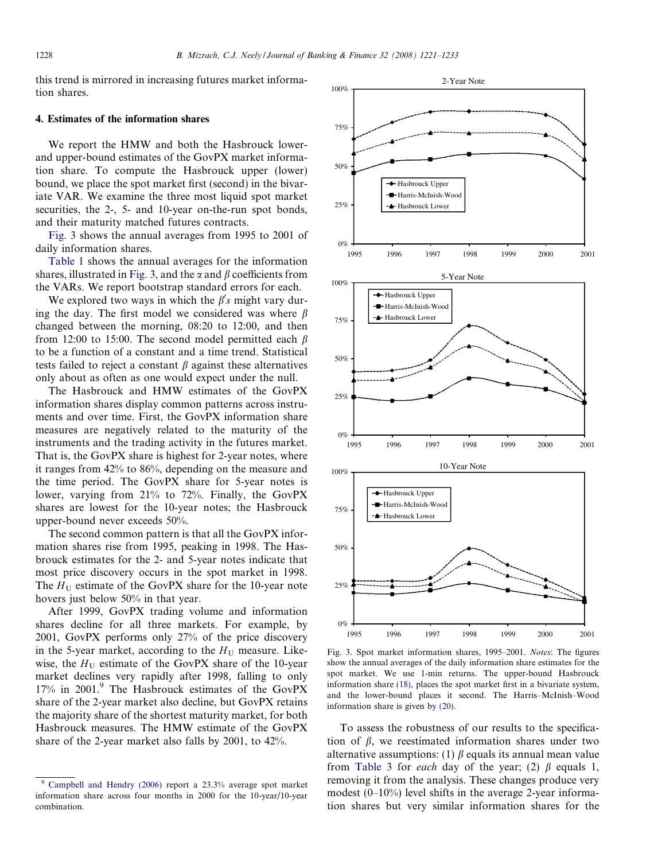this trend is mirrored in increasing futures market information shares.

# 4. Estimates of the information shares

We report the HMW and both the Hasbrouck lowerand upper-bound estimates of the GovPX market information share. To compute the Hasbrouck upper (lower) bound, we place the spot market first (second) in the bivariate VAR. We examine the three most liquid spot market securities, the 2-, 5- and 10-year on-the-run spot bonds, and their maturity matched futures contracts.

Fig. 3 shows the annual averages from 1995 to 2001 of daily information shares.

[Table 1](#page-8-0) shows the annual averages for the information shares, illustrated in Fig. 3, and the  $\alpha$  and  $\beta$  coefficients from the VARs. We report bootstrap standard errors for each.

We explored two ways in which the  $\beta'$ s might vary during the day. The first model we considered was where  $\beta$ changed between the morning, 08:20 to 12:00, and then from 12:00 to 15:00. The second model permitted each  $\beta$ to be a function of a constant and a time trend. Statistical tests failed to reject a constant  $\beta$  against these alternatives only about as often as one would expect under the null.

The Hasbrouck and HMW estimates of the GovPX information shares display common patterns across instruments and over time. First, the GovPX information share measures are negatively related to the maturity of the instruments and the trading activity in the futures market. That is, the GovPX share is highest for 2-year notes, where it ranges from 42% to 86%, depending on the measure and the time period. The GovPX share for 5-year notes is lower, varying from 21% to 72%. Finally, the GovPX shares are lowest for the 10-year notes; the Hasbrouck upper-bound never exceeds 50%.

The second common pattern is that all the GovPX information shares rise from 1995, peaking in 1998. The Hasbrouck estimates for the 2- and 5-year notes indicate that most price discovery occurs in the spot market in 1998. The  $H_U$  estimate of the GovPX share for the 10-year note hovers just below 50% in that year.

After 1999, GovPX trading volume and information shares decline for all three markets. For example, by 2001, GovPX performs only 27% of the price discovery in the 5-year market, according to the  $H<sub>U</sub>$  measure. Likewise, the  $H_U$  estimate of the GovPX share of the 10-year market declines very rapidly after 1998, falling to only 17% in 2001.<sup>9</sup> The Hasbrouck estimates of the GovPX share of the 2-year market also decline, but GovPX retains the majority share of the shortest maturity market, for both Hasbrouck measures. The HMW estimate of the GovPX share of the 2-year market also falls by 2001, to 42%.



Fig. 3. Spot market information shares, 1995–2001. Notes: The figures show the annual averages of the daily information share estimates for the spot market. We use 1-min returns. The upper-bound Hasbrouck information share [\(18\),](#page-4-0) places the spot market first in a bivariate system, and the lower-bound places it second. The Harris–McInish–Wood information share is given by [\(20\)](#page-4-0).

To assess the robustness of our results to the specification of  $\beta$ , we reestimated information shares under two alternative assumptions: (1)  $\beta$  equals its annual mean value from [Table 3](#page-9-0) for *each* day of the year; (2)  $\beta$  equals 1, removing it from the analysis. These changes produce very modest (0–10%) level shifts in the average 2-year information shares but very similar information shares for the

<sup>9</sup> [Campbell and Hendry \(2006\)](#page-12-0) report a 23.3% average spot market information share across four months in 2000 for the 10-year/10-year combination.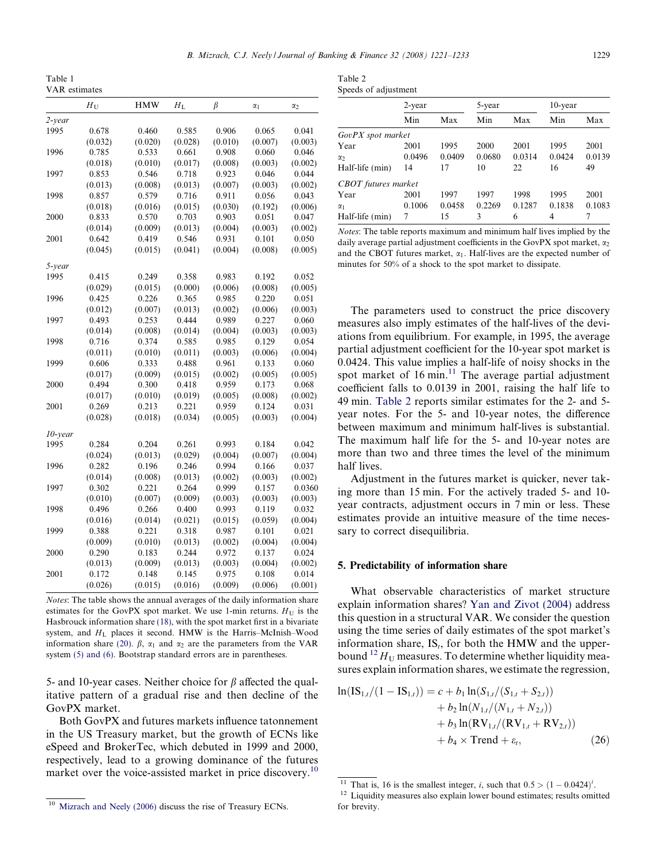<span id="page-8-0"></span>Table 1 VAR estimates

|            | $H_{\rm U}$ | <b>HMW</b> | $H_{\rm L}$ | $\beta$ | $\alpha_1$ | $\alpha_2$ |
|------------|-------------|------------|-------------|---------|------------|------------|
| $2$ -year  |             |            |             |         |            |            |
| 1995       | 0.678       | 0.460      | 0.585       | 0.906   | 0.065      | 0.041      |
|            | (0.032)     | (0.020)    | (0.028)     | (0.010) | (0.007)    | (0.003)    |
| 1996       | 0.785       | 0.533      | 0.661       | 0.908   | 0.060      | 0.046      |
|            | (0.018)     | (0.010)    | (0.017)     | (0.008) | (0.003)    | (0.002)    |
| 1997       | 0.853       | 0.546      | 0.718       | 0.923   | 0.046      | 0.044      |
|            | (0.013)     | (0.008)    | (0.013)     | (0.007) | (0.003)    | (0.002)    |
| 1998       | 0.857       | 0.579      | 0.716       | 0.911   | 0.056      | 0.043      |
|            | (0.018)     | (0.016)    | (0.015)     | (0.030) | (0.192)    | (0.006)    |
| 2000       | 0.833       | 0.570      | 0.703       | 0.903   | 0.051      | 0.047      |
|            | (0.014)     | (0.009)    | (0.013)     | (0.004) | (0.003)    | (0.002)    |
| 2001       | 0.642       | 0.419      | 0.546       | 0.931   | 0.101      | 0.050      |
|            | (0.045)     | (0.015)    | (0.041)     | (0.004) | (0.008)    | (0.005)    |
| 5-year     |             |            |             |         |            |            |
| 1995       | 0.415       | 0.249      | 0.358       | 0.983   | 0.192      | 0.052      |
|            | (0.029)     | (0.015)    | (0.000)     | (0.006) | (0.008)    | (0.005)    |
| 1996       | 0.425       | 0.226      | 0.365       | 0.985   | 0.220      | 0.051      |
|            | (0.012)     | (0.007)    | (0.013)     | (0.002) | (0.006)    | (0.003)    |
| 1997       | 0.493       | 0.253      | 0.444       | 0.989   | 0.227      | 0.060      |
|            | (0.014)     | (0.008)    | (0.014)     | (0.004) | (0.003)    | (0.003)    |
| 1998       | 0.716       | 0.374      | 0.585       | 0.985   | 0.129      | 0.054      |
|            | (0.011)     | (0.010)    | (0.011)     | (0.003) | (0.006)    | (0.004)    |
| 1999       | 0.606       | 0.333      | 0.488       | 0.961   | 0.133      | 0.060      |
|            | (0.017)     | (0.009)    | (0.015)     | (0.002) | (0.005)    | (0.005)    |
| 2000       | 0.494       | 0.300      | 0.418       | 0.959   | 0.173      | 0.068      |
|            | (0.017)     | (0.010)    | (0.019)     | (0.005) | (0.008)    | (0.002)    |
| 2001       | 0.269       | 0.213      | 0.221       | 0.959   | 0.124      | 0.031      |
|            | (0.028)     | (0.018)    | (0.034)     | (0.005) | (0.003)    | (0.004)    |
| $10$ -year |             |            |             |         |            |            |
| 1995       | 0.284       | 0.204      | 0.261       | 0.993   | 0.184      | 0.042      |
|            | (0.024)     | (0.013)    | (0.029)     | (0.004) | (0.007)    | (0.004)    |
| 1996       | 0.282       | 0.196      | 0.246       | 0.994   | 0.166      | 0.037      |
|            | (0.014)     | (0.008)    | (0.013)     | (0.002) | (0.003)    | (0.002)    |
| 1997       | 0.302       | 0.221      | 0.264       | 0.999   | 0.157      | 0.0360     |
|            | (0.010)     | (0.007)    | (0.009)     | (0.003) | (0.003)    | (0.003)    |
| 1998       | 0.496       | 0.266      | 0.400       | 0.993   | 0.119      | 0.032      |
|            | (0.016)     | (0.014)    | (0.021)     | (0.015) | (0.059)    | (0.004)    |
| 1999       | 0.388       | 0.221      | 0.318       | 0.987   | 0.101      | 0.021      |
|            | (0.009)     | (0.010)    | (0.013)     | (0.002) | (0.004)    | (0.004)    |
| 2000       | 0.290       | 0.183      | 0.244       | 0.972   | 0.137      | 0.024      |
|            | (0.013)     | (0.009)    | (0.013)     | (0.003) | (0.004)    | (0.002)    |
| 2001       | 0.172       | 0.148      | 0.145       | 0.975   | 0.108      | 0.014      |
|            | (0.026)     | (0.015)    | (0.016)     | (0.009) | (0.006)    | (0.001)    |

Notes: The table shows the annual averages of the daily information share estimates for the GovPX spot market. We use 1-min returns.  $H_U$  is the Hasbrouck information share [\(18\)](#page-4-0), with the spot market first in a bivariate system, and  $H_L$  places it second. HMW is the Harris–McInish–Wood information share [\(20\)](#page-4-0).  $\beta$ ,  $\alpha_1$  and  $\alpha_2$  are the parameters from the VAR system [\(5\) and \(6\).](#page-2-0) Bootstrap standard errors are in parentheses.

5- and 10-year cases. Neither choice for  $\beta$  affected the qualitative pattern of a gradual rise and then decline of the GovPX market.

Both GovPX and futures markets influence tatonnement in the US Treasury market, but the growth of ECNs like eSpeed and BrokerTec, which debuted in 1999 and 2000, respectively, lead to a growing dominance of the futures market over the voice-assisted market in price discovery.<sup>10</sup>

| Table 2              |  |  |
|----------------------|--|--|
| Speeds of adjustment |  |  |

|                            | 2-year |        | 5-year |        | 10-year |        |  |
|----------------------------|--------|--------|--------|--------|---------|--------|--|
|                            | Min    |        | Min    | Max    | Min     | Max    |  |
| GovPX spot market          |        |        |        |        |         |        |  |
| Year                       | 2001   | 1995   | 2000   | 2001   | 1995    | 2001   |  |
| $\alpha$                   | 0.0496 | 0.0409 | 0.0680 | 0.0314 | 0.0424  | 0.0139 |  |
| Half-life (min)            | 14     | 17     | 10     | 22     | 16      | 49     |  |
| <b>CBOT</b> futures market |        |        |        |        |         |        |  |
| Year                       | 2001   | 1997   | 1997   | 1998   | 1995    | 2001   |  |
| $\alpha_1$                 | 0.1006 | 0.0458 | 0.2269 | 0.1287 | 0.1838  | 0.1083 |  |
| Half-life (min)            | 7      | 15     | 3      | 6      | 4       | 7      |  |

Notes: The table reports maximum and minimum half lives implied by the daily average partial adjustment coefficients in the GovPX spot market,  $\alpha_2$ and the CBOT futures market,  $\alpha_1$ . Half-lives are the expected number of minutes for 50% of a shock to the spot market to dissipate.

The parameters used to construct the price discovery measures also imply estimates of the half-lives of the deviations from equilibrium. For example, in 1995, the average partial adjustment coefficient for the 10-year spot market is 0.0424. This value implies a half-life of noisy shocks in the spot market of  $16$  min.<sup>11</sup> The average partial adjustment coefficient falls to 0.0139 in 2001, raising the half life to 49 min. Table 2 reports similar estimates for the 2- and 5 year notes. For the 5- and 10-year notes, the difference between maximum and minimum half-lives is substantial. The maximum half life for the 5- and 10-year notes are more than two and three times the level of the minimum half lives.

Adjustment in the futures market is quicker, never taking more than 15 min. For the actively traded 5- and 10 year contracts, adjustment occurs in 7 min or less. These estimates provide an intuitive measure of the time necessary to correct disequilibria.

#### 5. Predictability of information share

What observable characteristics of market structure explain information shares? [Yan and Zivot \(2004\)](#page-12-0) address this question in a structural VAR. We consider the question using the time series of daily estimates of the spot market's information share,  $IS_t$ , for both the HMW and the upperbound  $^{12}H_U$  measures. To determine whether liquidity measures explain information shares, we estimate the regression,

$$
\ln(\text{IS}_{1,t}/(1-\text{IS}_{1,t})) = c + b_1 \ln(S_{1,t}/(S_{1,t} + S_{2,t})) + b_2 \ln(N_{1,t}/(N_{1,t} + N_{2,t})) + b_3 \ln(\text{RV}_{1,t}/(\text{RV}_{1,t} + \text{RV}_{2,t})) + b_4 \times \text{Trend} + \varepsilon_t,
$$
(26)

<sup>&</sup>lt;sup>10</sup> [Mizrach and Neely \(2006\)](#page-12-0) discuss the rise of Treasury ECNs.

<sup>&</sup>lt;sup>11</sup> That is, 16 is the smallest integer, *i*, such that  $0.5 > (1 - 0.0424)^i$ .

<sup>&</sup>lt;sup>12</sup> Liquidity measures also explain lower bound estimates; results omitted for brevity.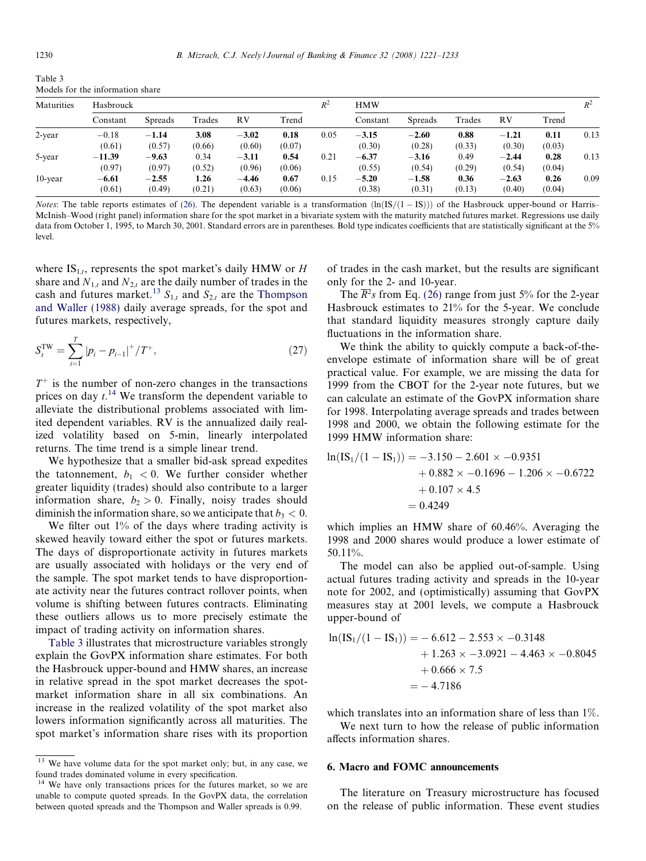<span id="page-9-0"></span>Table 3 Models for the information share

| Maturities | Hasbrouck          |                   |                |                   |                | $R^2$ | <b>HMW</b>        |                   |                |                   | $R^2$          |      |
|------------|--------------------|-------------------|----------------|-------------------|----------------|-------|-------------------|-------------------|----------------|-------------------|----------------|------|
|            | Constant           | <b>Spreads</b>    | Trades         | <b>RV</b>         | Trend          |       | Constant          | <b>Spreads</b>    | Trades         | RV                | Trend          |      |
| $2$ -year  | $-0.18$<br>(0.61)  | $-1.14$<br>(0.57) | 3.08<br>(0.66) | $-3.02$<br>(0.60) | 0.18<br>(0.07) | 0.05  | $-3.15$<br>(0.30) | $-2.60$<br>(0.28) | 0.88<br>(0.33) | $-1.21$<br>(0.30) | 0.11<br>(0.03) | 0.13 |
| 5-year     | $-11.39$<br>(0.97) | $-9.63$<br>(0.97) | 0.34<br>(0.52) | $-3.11$<br>(0.96) | 0.54<br>(0.06) | 0.21  | $-6.37$<br>(0.55) | $-3.16$<br>(0.54) | 0.49<br>(0.29) | $-2.44$<br>(0.54) | 0.28<br>(0.04) | 0.13 |
| $10$ -year | $-6.61$<br>(0.61)  | $-2.55$<br>(0.49) | 1.26<br>(0.21) | $-4.46$<br>(0.63) | 0.67<br>(0.06) | 0.15  | $-5.20$<br>(0.38) | $-1.58$<br>(0.31) | 0.36<br>(0.13) | $-2.63$<br>(0.40) | 0.26<br>(0.04) | 0.09 |

*Notes*: The table reports estimates of [\(26\).](#page-8-0) The dependent variable is a transformation  $(\ln(S/(1 - IS)))$  of the Hasbrouck upper-bound or Harris– McInish–Wood (right panel) information share for the spot market in a bivariate system with the maturity matched futures market. Regressions use daily data from October 1, 1995, to March 30, 2001. Standard errors are in parentheses. Bold type indicates coefficients that are statistically significant at the 5% level.

where  $IS_{1,t}$ , represents the spot market's daily HMW or H share and  $N_{1,t}$  and  $N_{2,t}$  are the daily number of trades in the cash and futures market.<sup>13</sup>  $S_{1,t}$  and  $S_{2,t}$  are the [Thompson](#page-12-0) [and Waller \(1988\)](#page-12-0) daily average spreads, for the spot and futures markets, respectively,

$$
S_t^{\text{TW}} = \sum_{i=1}^T |p_i - p_{i-1}|^+ / T^+, \tag{27}
$$

 $T^+$  is the number of non-zero changes in the transactions prices on day  $t$ .<sup>14</sup> We transform the dependent variable to alleviate the distributional problems associated with limited dependent variables. RV is the annualized daily realized volatility based on 5-min, linearly interpolated returns. The time trend is a simple linear trend.

We hypothesize that a smaller bid-ask spread expedites the tatonnement,  $b_1 < 0$ . We further consider whether greater liquidity (trades) should also contribute to a larger information share,  $b_2 > 0$ . Finally, noisy trades should diminish the information share, so we anticipate that  $b_3 < 0$ .

We filter out 1% of the days where trading activity is skewed heavily toward either the spot or futures markets. The days of disproportionate activity in futures markets are usually associated with holidays or the very end of the sample. The spot market tends to have disproportionate activity near the futures contract rollover points, when volume is shifting between futures contracts. Eliminating these outliers allows us to more precisely estimate the impact of trading activity on information shares.

Table 3 illustrates that microstructure variables strongly explain the GovPX information share estimates. For both the Hasbrouck upper-bound and HMW shares, an increase in relative spread in the spot market decreases the spotmarket information share in all six combinations. An increase in the realized volatility of the spot market also lowers information significantly across all maturities. The spot market's information share rises with its proportion of trades in the cash market, but the results are significant only for the 2- and 10-year.

The  $\overline{R}^2$ s from Eq. [\(26\)](#page-8-0) range from just 5% for the 2-year Hasbrouck estimates to 21% for the 5-year. We conclude that standard liquidity measures strongly capture daily fluctuations in the information share.

We think the ability to quickly compute a back-of-theenvelope estimate of information share will be of great practical value. For example, we are missing the data for 1999 from the CBOT for the 2-year note futures, but we can calculate an estimate of the GovPX information share for 1998. Interpolating average spreads and trades between 1998 and 2000, we obtain the following estimate for the 1999 HMW information share:

$$
\ln(\text{IS}_1/(1-\text{IS}_1)) = -3.150 - 2.601 \times -0.9351
$$
  
+ 0.882 \times -0.1696 - 1.206 \times -0.6722  
+ 0.107 \times 4.5  
= 0.4249

which implies an HMW share of 60.46%. Averaging the 1998 and 2000 shares would produce a lower estimate of 50.11%.

The model can also be applied out-of-sample. Using actual futures trading activity and spreads in the 10-year note for 2002, and (optimistically) assuming that GovPX measures stay at 2001 levels, we compute a Hasbrouck upper-bound of

$$
\ln(\text{IS}_1/(1-\text{IS}_1)) = -6.612 - 2.553 \times -0.3148
$$
  
+ 1.263 \times -3.0921 - 4.463 \times -0.8045  
+ 0.666 \times 7.5  
= -4.7186

which translates into an information share of less than 1%.

We next turn to how the release of public information affects information shares.

#### 6. Macro and FOMC announcements

The literature on Treasury microstructure has focused on the release of public information. These event studies

 $\frac{13}{13}$  We have volume data for the spot market only; but, in any case, we found trades dominated volume in every specification.

<sup>&</sup>lt;sup>14</sup> We have only transactions prices for the futures market, so we are unable to compute quoted spreads. In the GovPX data, the correlation between quoted spreads and the Thompson and Waller spreads is 0.99.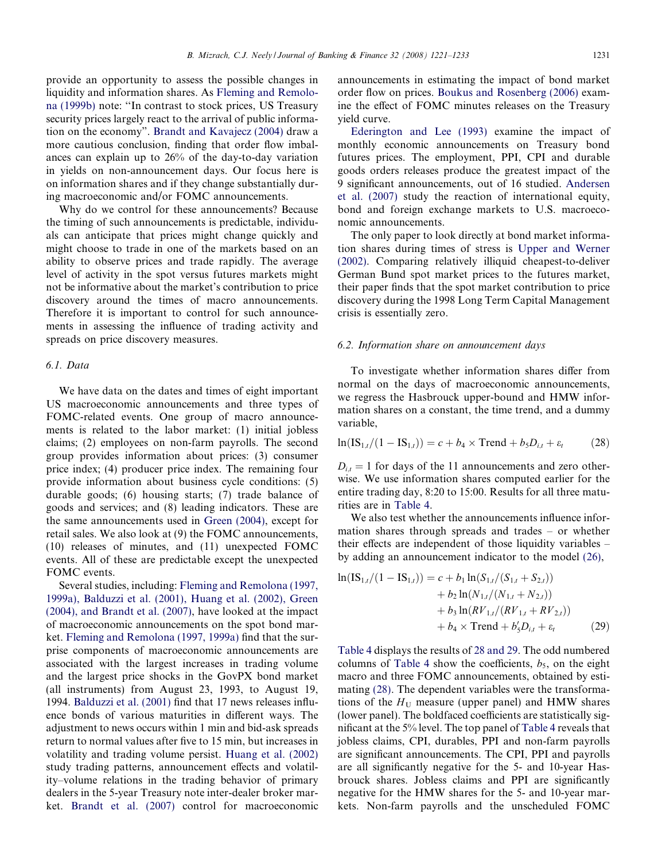<span id="page-10-0"></span>provide an opportunity to assess the possible changes in liquidity and information shares. As [Fleming and Remolo](#page-12-0)[na \(1999b\)](#page-12-0) note: ''In contrast to stock prices, US Treasury security prices largely react to the arrival of public information on the economy". [Brandt and Kavajecz \(2004\)](#page-12-0) draw a more cautious conclusion, finding that order flow imbalances can explain up to 26% of the day-to-day variation in yields on non-announcement days. Our focus here is on information shares and if they change substantially during macroeconomic and/or FOMC announcements.

Why do we control for these announcements? Because the timing of such announcements is predictable, individuals can anticipate that prices might change quickly and might choose to trade in one of the markets based on an ability to observe prices and trade rapidly. The average level of activity in the spot versus futures markets might not be informative about the market's contribution to price discovery around the times of macro announcements. Therefore it is important to control for such announcements in assessing the influence of trading activity and spreads on price discovery measures.

### 6.1. Data

We have data on the dates and times of eight important US macroeconomic announcements and three types of FOMC-related events. One group of macro announcements is related to the labor market: (1) initial jobless claims; (2) employees on non-farm payrolls. The second group provides information about prices: (3) consumer price index; (4) producer price index. The remaining four provide information about business cycle conditions: (5) durable goods; (6) housing starts; (7) trade balance of goods and services; and (8) leading indicators. These are the same announcements used in [Green \(2004\)](#page-12-0), except for retail sales. We also look at (9) the FOMC announcements, (10) releases of minutes, and (11) unexpected FOMC events. All of these are predictable except the unexpected FOMC events.

Several studies, including: [Fleming and Remolona \(1997,](#page-12-0) [1999a\), Balduzzi et al. \(2001\), Huang et al. \(2002\), Green](#page-12-0) [\(2004\), and Brandt et al. \(2007\),](#page-12-0) have looked at the impact of macroeconomic announcements on the spot bond market. [Fleming and Remolona \(1997, 1999a\)](#page-12-0) find that the surprise components of macroeconomic announcements are associated with the largest increases in trading volume and the largest price shocks in the GovPX bond market (all instruments) from August 23, 1993, to August 19, 1994. [Balduzzi et al. \(2001\)](#page-12-0) find that 17 news releases influence bonds of various maturities in different ways. The adjustment to news occurs within 1 min and bid-ask spreads return to normal values after five to 15 min, but increases in volatility and trading volume persist. [Huang et al. \(2002\)](#page-12-0) study trading patterns, announcement effects and volatility–volume relations in the trading behavior of primary dealers in the 5-year Treasury note inter-dealer broker market. [Brandt et al. \(2007\)](#page-12-0) control for macroeconomic announcements in estimating the impact of bond market order flow on prices. [Boukus and Rosenberg \(2006\)](#page-12-0) examine the effect of FOMC minutes releases on the Treasury yield curve.

[Ederington and Lee \(1993\)](#page-12-0) examine the impact of monthly economic announcements on Treasury bond futures prices. The employment, PPI, CPI and durable goods orders releases produce the greatest impact of the 9 significant announcements, out of 16 studied. [Andersen](#page-12-0) [et al. \(2007\)](#page-12-0) study the reaction of international equity, bond and foreign exchange markets to U.S. macroeconomic announcements.

The only paper to look directly at bond market information shares during times of stress is [Upper and Werner](#page-12-0) [\(2002\)](#page-12-0). Comparing relatively illiquid cheapest-to-deliver German Bund spot market prices to the futures market, their paper finds that the spot market contribution to price discovery during the 1998 Long Term Capital Management crisis is essentially zero.

#### 6.2. Information share on announcement days

To investigate whether information shares differ from normal on the days of macroeconomic announcements, we regress the Hasbrouck upper-bound and HMW information shares on a constant, the time trend, and a dummy variable,

$$
\ln(\text{IS}_{1,t}/(1-\text{IS}_{1,t})) = c + b_4 \times \text{Trend} + b_5 D_{i,t} + \varepsilon_t \tag{28}
$$

 $D_{i,t} = 1$  for days of the 11 announcements and zero otherwise. We use information shares computed earlier for the entire trading day, 8:20 to 15:00. Results for all three maturities are in [Table 4](#page-11-0).

We also test whether the announcements influence information shares through spreads and trades – or whether their effects are independent of those liquidity variables – by adding an announcement indicator to the model [\(26\)](#page-8-0),

$$
\ln(\text{IS}_{1,t}/(1-\text{IS}_{1,t})) = c + b_1 \ln(S_{1,t}/(S_{1,t} + S_{2,t})) + b_2 \ln(N_{1,t}/(N_{1,t} + N_{2,t})) + b_3 \ln(RV_{1,t}/(RV_{1,t} + RV_{2,t})) + b_4 \times \text{Trend} + b_5'D_{i,t} + \varepsilon_t
$$
 (29)

[Table 4](#page-11-0) displays the results of 28 and 29. The odd numbered columns of [Table 4](#page-11-0) show the coefficients,  $b_5$ , on the eight macro and three FOMC announcements, obtained by estimating (28). The dependent variables were the transformations of the  $H<sub>U</sub>$  measure (upper panel) and HMW shares (lower panel). The boldfaced coefficients are statistically significant at the 5% level. The top panel of [Table 4](#page-11-0) reveals that jobless claims, CPI, durables, PPI and non-farm payrolls are significant announcements. The CPI, PPI and payrolls are all significantly negative for the 5- and 10-year Hasbrouck shares. Jobless claims and PPI are significantly negative for the HMW shares for the 5- and 10-year markets. Non-farm payrolls and the unscheduled FOMC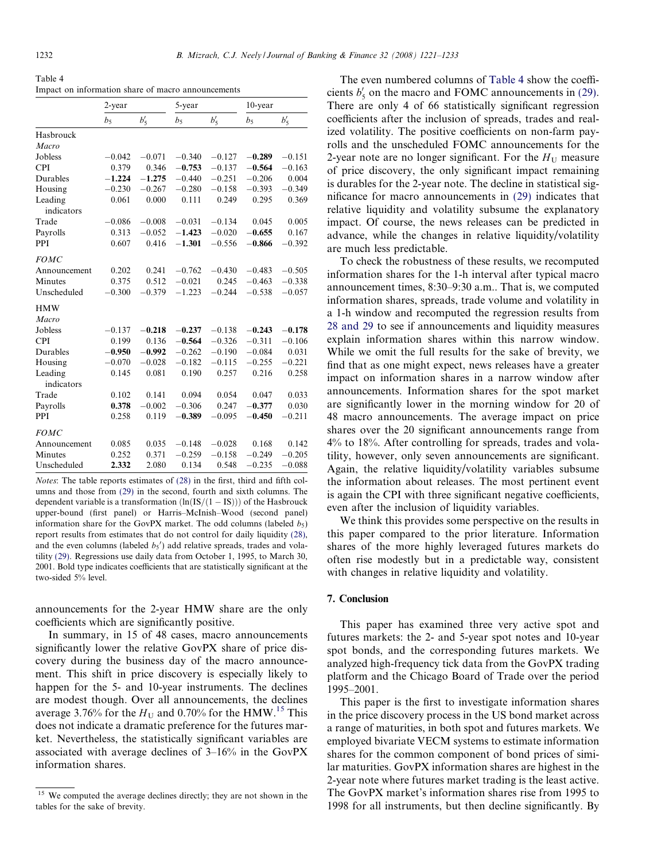<span id="page-11-0"></span>Table 4 Impact on information share of macro announcements

|                       | 2-year   |          | 5-year         |          | 10-year        |          |  |
|-----------------------|----------|----------|----------------|----------|----------------|----------|--|
|                       | $b_5$    | $b'_{5}$ | b <sub>5</sub> | $b'_5$   | b <sub>5</sub> | $b'_5$   |  |
| Hasbrouck             |          |          |                |          |                |          |  |
| Macro                 |          |          |                |          |                |          |  |
| Jobless               | $-0.042$ | $-0.071$ | $-0.340$       | $-0.127$ | $-0.289$       | $-0.151$ |  |
| <b>CPI</b>            | 0.379    | 0.346    | $-0.753$       | $-0.137$ | $-0.564$       | $-0.163$ |  |
| Durables              | $-1.224$ | $-1.275$ | $-0.440$       | $-0.251$ | $-0.206$       | 0.004    |  |
| Housing               | $-0.230$ | $-0.267$ | $-0.280$       | $-0.158$ | $-0.393$       | $-0.349$ |  |
| Leading<br>indicators | 0.061    | 0.000    | 0.111          | 0.249    | 0.295          | 0.369    |  |
| Trade                 | $-0.086$ | $-0.008$ | $-0.031$       | $-0.134$ | 0.045          | 0.005    |  |
| Payrolls              | 0.313    | $-0.052$ | $-1.423$       | $-0.020$ | $-0.655$       | 0.167    |  |
| PPI                   | 0.607    | 0.416    | $-1.301$       | $-0.556$ | $-0.866$       | $-0.392$ |  |
| <b>FOMC</b>           |          |          |                |          |                |          |  |
| Announcement          | 0.202    | 0.241    | $-0.762$       | $-0.430$ | $-0.483$       | $-0.505$ |  |
| Minutes               | 0.375    | 0.512    | $-0.021$       | 0.245    | $-0.463$       | $-0.338$ |  |
| Unscheduled           | $-0.300$ | $-0.379$ | $-1.223$       | $-0.244$ | $-0.538$       | $-0.057$ |  |
| <b>HMW</b>            |          |          |                |          |                |          |  |
| Macro                 |          |          |                |          |                |          |  |
| Jobless               | $-0.137$ | $-0.218$ | $-0.237$       | $-0.138$ | $-0.243$       | $-0.178$ |  |
| <b>CPI</b>            | 0.199    | 0.136    | $-0.564$       | $-0.326$ | $-0.311$       | $-0.106$ |  |
| Durables              | $-0.950$ | $-0.992$ | $-0.262$       | $-0.190$ | $-0.084$       | 0.031    |  |
| Housing               | $-0.070$ | $-0.028$ | $-0.182$       | $-0.115$ | $-0.255$       | $-0.221$ |  |
| Leading<br>indicators | 0.145    | 0.081    | 0.190          | 0.257    | 0.216          | 0.258    |  |
| Trade                 | 0.102    | 0.141    | 0.094          | 0.054    | 0.047          | 0.033    |  |
| Payrolls              | 0.378    | $-0.002$ | $-0.306$       | 0.247    | $-0.377$       | 0.030    |  |
| PPI                   | 0.258    | 0.119    | $-0.389$       | $-0.095$ | $-0.450$       | $-0.211$ |  |
| <b>FOMC</b>           |          |          |                |          |                |          |  |
| Announcement          | 0.085    | 0.035    | $-0.148$       | $-0.028$ | 0.168          | 0.142    |  |
| Minutes               | 0.252    | 0.371    | $-0.259$       | $-0.158$ | $-0.249$       | $-0.205$ |  |
| Unscheduled           | 2.332    | 2.080    | 0.134          | 0.548    | $-0.235$       | $-0.088$ |  |

Notes: The table reports estimates of [\(28\)](#page-10-0) in the first, third and fifth columns and those from [\(29\)](#page-10-0) in the second, fourth and sixth columns. The dependent variable is a transformation  $(ln(IS/(1 - IS)))$  of the Hasbrouck upper-bound (first panel) or Harris–McInish–Wood (second panel) information share for the GovPX market. The odd columns (labeled  $b_5$ ) report results from estimates that do not control for daily liquidity [\(28\),](#page-10-0) and the even columns (labeled  $b_5$ <sup>'</sup>) add relative spreads, trades and volatility [\(29\)](#page-10-0). Regressions use daily data from October 1, 1995, to March 30, 2001. Bold type indicates coefficients that are statistically significant at the two-sided 5% level.

announcements for the 2-year HMW share are the only coefficients which are significantly positive.

In summary, in 15 of 48 cases, macro announcements significantly lower the relative GovPX share of price discovery during the business day of the macro announcement. This shift in price discovery is especially likely to happen for the 5- and 10-year instruments. The declines are modest though. Over all announcements, the declines average 3.76% for the  $H_U$  and 0.70% for the HMW.<sup>15</sup> This does not indicate a dramatic preference for the futures market. Nevertheless, the statistically significant variables are associated with average declines of 3–16% in the GovPX information shares.

The even numbered columns of Table 4 show the coefficients  $b'_5$  on the macro and FOMC announcements in [\(29\)](#page-10-0). There are only 4 of 66 statistically significant regression coefficients after the inclusion of spreads, trades and realized volatility. The positive coefficients on non-farm payrolls and the unscheduled FOMC announcements for the 2-year note are no longer significant. For the  $H<sub>U</sub>$  measure of price discovery, the only significant impact remaining is durables for the 2-year note. The decline in statistical significance for macro announcements in [\(29\)](#page-10-0) indicates that relative liquidity and volatility subsume the explanatory impact. Of course, the news releases can be predicted in advance, while the changes in relative liquidity/volatility are much less predictable.

To check the robustness of these results, we recomputed information shares for the 1-h interval after typical macro announcement times, 8:30–9:30 a.m.. That is, we computed information shares, spreads, trade volume and volatility in a 1-h window and recomputed the regression results from [28 and 29](#page-10-0) to see if announcements and liquidity measures explain information shares within this narrow window. While we omit the full results for the sake of brevity, we find that as one might expect, news releases have a greater impact on information shares in a narrow window after announcements. Information shares for the spot market are significantly lower in the morning window for 20 of 48 macro announcements. The average impact on price shares over the 20 significant announcements range from 4% to 18%. After controlling for spreads, trades and volatility, however, only seven announcements are significant. Again, the relative liquidity/volatility variables subsume the information about releases. The most pertinent event is again the CPI with three significant negative coefficients, even after the inclusion of liquidity variables.

We think this provides some perspective on the results in this paper compared to the prior literature. Information shares of the more highly leveraged futures markets do often rise modestly but in a predictable way, consistent with changes in relative liquidity and volatility.

# 7. Conclusion

This paper has examined three very active spot and futures markets: the 2- and 5-year spot notes and 10-year spot bonds, and the corresponding futures markets. We analyzed high-frequency tick data from the GovPX trading platform and the Chicago Board of Trade over the period 1995–2001.

This paper is the first to investigate information shares in the price discovery process in the US bond market across a range of maturities, in both spot and futures markets. We employed bivariate VECM systems to estimate information shares for the common component of bond prices of similar maturities. GovPX information shares are highest in the 2-year note where futures market trading is the least active. The GovPX market's information shares rise from 1995 to 1998 for all instruments, but then decline significantly. By

<sup>&</sup>lt;sup>15</sup> We computed the average declines directly; they are not shown in the tables for the sake of brevity.